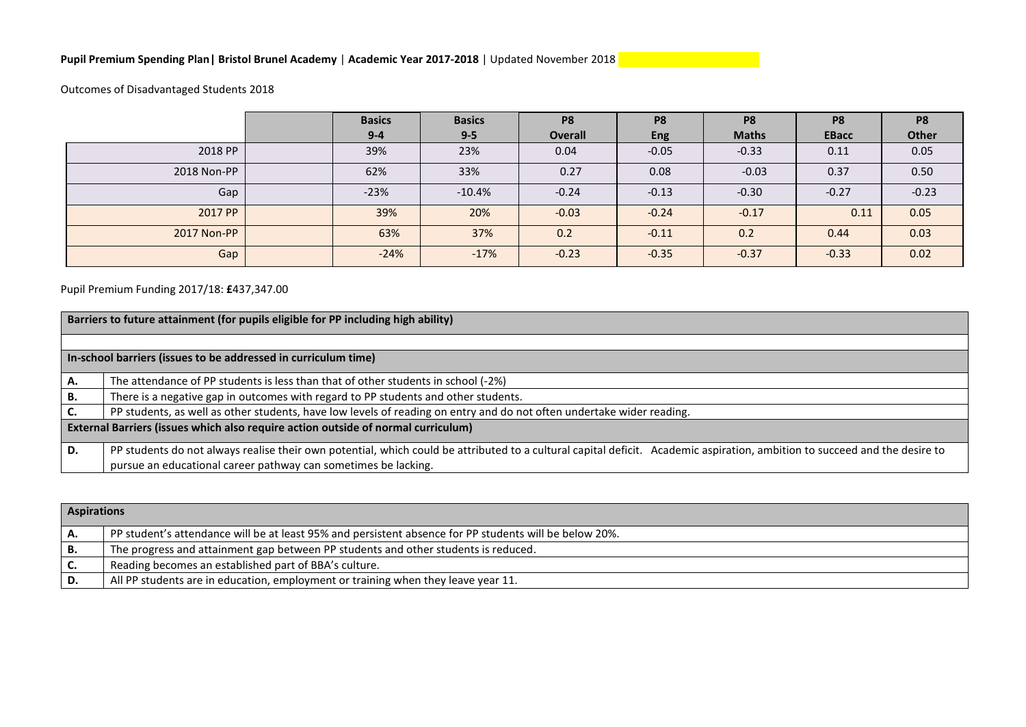## **Pupil Premium Spending Plan| Bristol Brunel Academy** | **Academic Year 2017-2018** | Updated November 2018

Outcomes of Disadvantaged Students 2018

|             | <b>Basics</b><br>$9 - 4$ | <b>Basics</b><br>$9 - 5$ | P <sub>8</sub><br>Overall | P <sub>8</sub><br><b>Eng</b> | P <sub>8</sub><br><b>Maths</b> | P <sub>8</sub><br><b>EBacc</b> | P <sub>8</sub><br><b>Other</b> |
|-------------|--------------------------|--------------------------|---------------------------|------------------------------|--------------------------------|--------------------------------|--------------------------------|
| 2018 PP     | 39%                      | 23%                      | 0.04                      | $-0.05$                      | $-0.33$                        | 0.11                           | 0.05                           |
| 2018 Non-PP | 62%                      | 33%                      | 0.27                      | 0.08                         | $-0.03$                        | 0.37                           | 0.50                           |
| Gap         | $-23%$                   | $-10.4%$                 | $-0.24$                   | $-0.13$                      | $-0.30$                        | $-0.27$                        | $-0.23$                        |
| 2017 PP     | 39%                      | 20%                      | $-0.03$                   | $-0.24$                      | $-0.17$                        | 0.11                           | 0.05                           |
| 2017 Non-PP | 63%                      | 37%                      | 0.2                       | $-0.11$                      | 0.2                            | 0.44                           | 0.03                           |
| Gap         | $-24%$                   | $-17%$                   | $-0.23$                   | $-0.35$                      | $-0.37$                        | $-0.33$                        | 0.02                           |

## Pupil Premium Funding 2017/18: **£**437,347.00

|    | Barriers to future attainment (for pupils eligible for PP including high ability)                                                                                          |  |  |  |  |  |  |  |
|----|----------------------------------------------------------------------------------------------------------------------------------------------------------------------------|--|--|--|--|--|--|--|
|    |                                                                                                                                                                            |  |  |  |  |  |  |  |
|    | In-school barriers (issues to be addressed in curriculum time)                                                                                                             |  |  |  |  |  |  |  |
| А. | The attendance of PP students is less than that of other students in school (-2%)                                                                                          |  |  |  |  |  |  |  |
| В. | There is a negative gap in outcomes with regard to PP students and other students.                                                                                         |  |  |  |  |  |  |  |
|    | PP students, as well as other students, have low levels of reading on entry and do not often undertake wider reading.                                                      |  |  |  |  |  |  |  |
|    | External Barriers (issues which also require action outside of normal curriculum)                                                                                          |  |  |  |  |  |  |  |
| D. | PP students do not always realise their own potential, which could be attributed to a cultural capital deficit. Academic aspiration, ambition to succeed and the desire to |  |  |  |  |  |  |  |
|    | pursue an educational career pathway can sometimes be lacking.                                                                                                             |  |  |  |  |  |  |  |

|    | <b>Aspirations</b>                                                                                     |  |  |  |  |  |
|----|--------------------------------------------------------------------------------------------------------|--|--|--|--|--|
|    | PP student's attendance will be at least 95% and persistent absence for PP students will be below 20%. |  |  |  |  |  |
|    | The progress and attainment gap between PP students and other students is reduced.                     |  |  |  |  |  |
|    | Reading becomes an established part of BBA's culture.                                                  |  |  |  |  |  |
| D. | All PP students are in education, employment or training when they leave year 11.                      |  |  |  |  |  |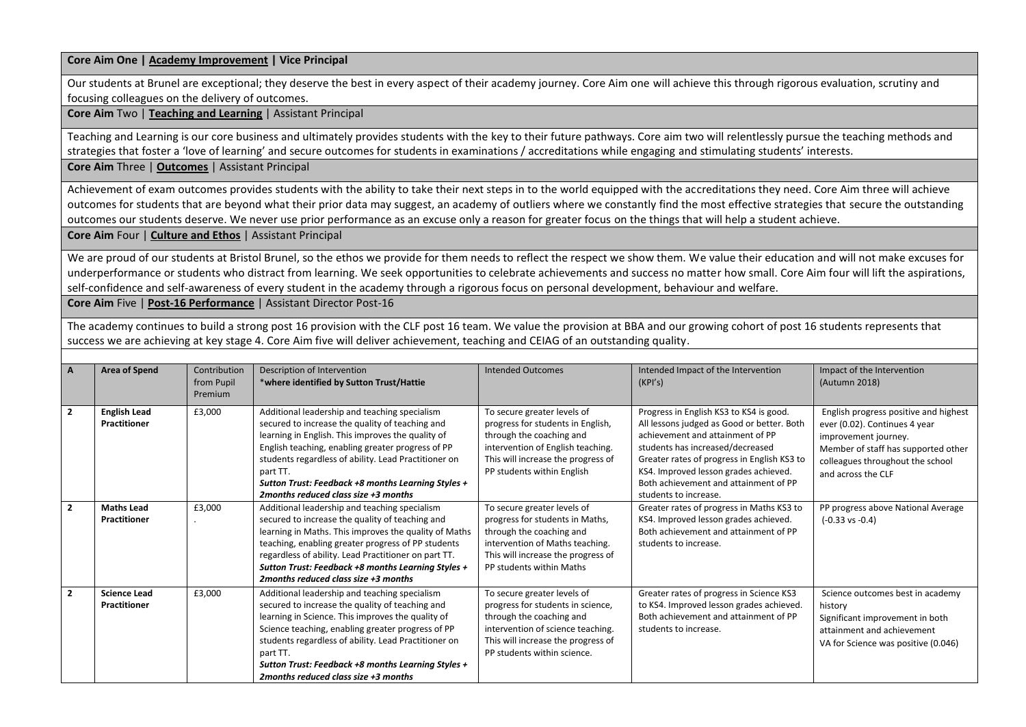**Core Aim One | Academy Improvement | Vice Principal**

Our students at Brunel are exceptional; they deserve the best in every aspect of their academy journey. Core Aim one will achieve this through rigorous evaluation, scrutiny and focusing colleagues on the delivery of outcomes.

**Core Aim** Two | **Teaching and Learning** | Assistant Principal

Teaching and Learning is our core business and ultimately provides students with the key to their future pathways. Core aim two will relentlessly pursue the teaching methods and strategies that foster a 'love of learning' and secure outcomes for students in examinations / accreditations while engaging and stimulating students' interests.

**Core Aim** Three | **Outcomes** | Assistant Principal

Achievement of exam outcomes provides students with the ability to take their next steps in to the world equipped with the accreditations they need. Core Aim three will achieve outcomes for students that are beyond what their prior data may suggest, an academy of outliers where we constantly find the most effective strategies that secure the outstanding outcomes our students deserve. We never use prior performance as an excuse only a reason for greater focus on the things that will help a student achieve.

**Core Aim** Four | **Culture and Ethos** | Assistant Principal

We are proud of our students at Bristol Brunel, so the ethos we provide for them needs to reflect the respect we show them. We value their education and will not make excuses for underperformance or students who distract from learning. We seek opportunities to celebrate achievements and success no matter how small. Core Aim four will lift the aspirations, self-confidence and self-awareness of every student in the academy through a rigorous focus on personal development, behaviour and welfare.

**Core Aim** Five | **Post-16 Performance** | Assistant Director Post-16

The academy continues to build a strong post 16 provision with the CLF post 16 team. We value the provision at BBA and our growing cohort of post 16 students represents that success we are achieving at key stage 4. Core Aim five will deliver achievement, teaching and CEIAG of an outstanding quality.

| A              | <b>Area of Spend</b>                       | Contribution<br>from Pupil<br>Premium | Description of Intervention<br>*where identified by Sutton Trust/Hattie                                                                                                                                                                                                                                                                                                      | <b>Intended Outcomes</b>                                                                                                                                                                               | Intended Impact of the Intervention<br>(KPI's)                                                                                                                                                                                                                                                                          | Impact of the Intervention<br>(Autumn 2018)                                                                                                                                                     |
|----------------|--------------------------------------------|---------------------------------------|------------------------------------------------------------------------------------------------------------------------------------------------------------------------------------------------------------------------------------------------------------------------------------------------------------------------------------------------------------------------------|--------------------------------------------------------------------------------------------------------------------------------------------------------------------------------------------------------|-------------------------------------------------------------------------------------------------------------------------------------------------------------------------------------------------------------------------------------------------------------------------------------------------------------------------|-------------------------------------------------------------------------------------------------------------------------------------------------------------------------------------------------|
| $\overline{2}$ | <b>English Lead</b><br><b>Practitioner</b> | £3,000                                | Additional leadership and teaching specialism<br>secured to increase the quality of teaching and<br>learning in English. This improves the quality of<br>English teaching, enabling greater progress of PP<br>students regardless of ability. Lead Practitioner on<br>part TT.<br>Sutton Trust: Feedback +8 months Learning Styles +<br>2months reduced class size +3 months | To secure greater levels of<br>progress for students in English,<br>through the coaching and<br>intervention of English teaching.<br>This will increase the progress of<br>PP students within English  | Progress in English KS3 to KS4 is good.<br>All lessons judged as Good or better. Both<br>achievement and attainment of PP<br>students has increased/decreased<br>Greater rates of progress in English KS3 to<br>KS4. Improved lesson grades achieved.<br>Both achievement and attainment of PP<br>students to increase. | English progress positive and highest<br>ever (0.02). Continues 4 year<br>improvement journey.<br>Member of staff has supported other<br>colleagues throughout the school<br>and across the CLF |
| $\overline{2}$ | <b>Maths Lead</b><br><b>Practitioner</b>   | £3,000                                | Additional leadership and teaching specialism<br>secured to increase the quality of teaching and<br>learning in Maths. This improves the quality of Maths<br>teaching, enabling greater progress of PP students<br>regardless of ability. Lead Practitioner on part TT.<br>Sutton Trust: Feedback +8 months Learning Styles +<br>2months reduced class size +3 months        | To secure greater levels of<br>progress for students in Maths,<br>through the coaching and<br>intervention of Maths teaching.<br>This will increase the progress of<br>PP students within Maths        | Greater rates of progress in Maths KS3 to<br>KS4. Improved lesson grades achieved.<br>Both achievement and attainment of PP<br>students to increase.                                                                                                                                                                    | PP progress above National Average<br>$(-0.33 \text{ vs } -0.4)$                                                                                                                                |
| $\overline{2}$ | <b>Science Lead</b><br><b>Practitioner</b> | £3,000                                | Additional leadership and teaching specialism<br>secured to increase the quality of teaching and<br>learning in Science. This improves the quality of<br>Science teaching, enabling greater progress of PP<br>students regardless of ability. Lead Practitioner on<br>part TT.<br>Sutton Trust: Feedback +8 months Learning Styles +<br>2months reduced class size +3 months | To secure greater levels of<br>progress for students in science,<br>through the coaching and<br>intervention of science teaching.<br>This will increase the progress of<br>PP students within science. | Greater rates of progress in Science KS3<br>to KS4. Improved lesson grades achieved.<br>Both achievement and attainment of PP<br>students to increase.                                                                                                                                                                  | Science outcomes best in academy<br>history<br>Significant improvement in both<br>attainment and achievement<br>VA for Science was positive (0.046)                                             |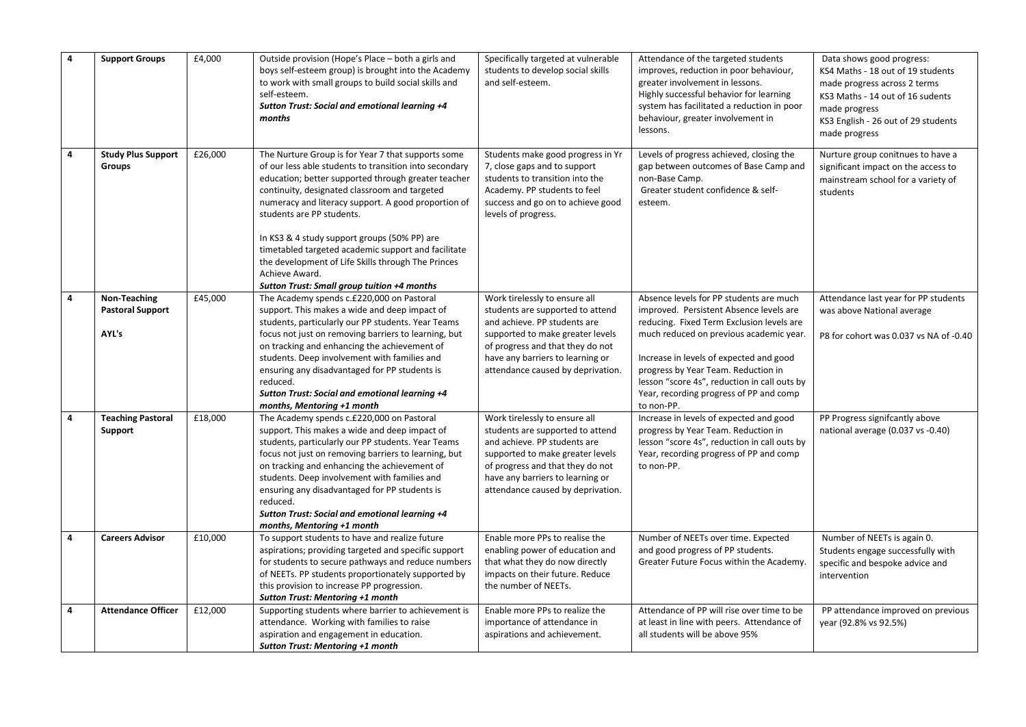| $\overline{4}$ | <b>Support Groups</b>                            | £4,000  | Outside provision (Hope's Place - both a girls and<br>boys self-esteem group) is brought into the Academy<br>to work with small groups to build social skills and<br>self-esteem.<br>Sutton Trust: Social and emotional learning +4<br>months                                                                                                                                                                                                                                                                                          | Specifically targeted at vulnerable<br>students to develop social skills<br>and self-esteem.                                                                                                                                                       | Attendance of the targeted students<br>improves, reduction in poor behaviour,<br>greater involvement in lessons.<br>Highly successful behavior for learning<br>system has facilitated a reduction in poor<br>behaviour, greater involvement in<br>lessons.                                                                                                            | Data shows good progress:<br>KS4 Maths - 18 out of 19 students<br>made progress across 2 terms<br>KS3 Maths - 14 out of 16 sudents<br>made progress<br>KS3 English - 26 out of 29 students<br>made progress |
|----------------|--------------------------------------------------|---------|----------------------------------------------------------------------------------------------------------------------------------------------------------------------------------------------------------------------------------------------------------------------------------------------------------------------------------------------------------------------------------------------------------------------------------------------------------------------------------------------------------------------------------------|----------------------------------------------------------------------------------------------------------------------------------------------------------------------------------------------------------------------------------------------------|-----------------------------------------------------------------------------------------------------------------------------------------------------------------------------------------------------------------------------------------------------------------------------------------------------------------------------------------------------------------------|-------------------------------------------------------------------------------------------------------------------------------------------------------------------------------------------------------------|
| 4              | <b>Study Plus Support</b><br>Groups              | £26,000 | The Nurture Group is for Year 7 that supports some<br>of our less able students to transition into secondary<br>education; better supported through greater teacher<br>continuity, designated classroom and targeted<br>numeracy and literacy support. A good proportion of<br>students are PP students.<br>In KS3 & 4 study support groups (50% PP) are<br>timetabled targeted academic support and facilitate<br>the development of Life Skills through The Princes<br>Achieve Award.<br>Sutton Trust: Small group tuition +4 months | Students make good progress in Yr<br>7, close gaps and to support<br>students to transition into the<br>Academy. PP students to feel<br>success and go on to achieve good<br>levels of progress.                                                   | Levels of progress achieved, closing the<br>gap between outcomes of Base Camp and<br>non-Base Camp.<br>Greater student confidence & self-<br>esteem.                                                                                                                                                                                                                  | Nurture group conitnues to have a<br>significant impact on the access to<br>mainstream school for a variety of<br>students                                                                                  |
| 4              | Non-Teaching<br><b>Pastoral Support</b><br>AYL's | £45,000 | The Academy spends c.£220,000 on Pastoral<br>support. This makes a wide and deep impact of<br>students, particularly our PP students. Year Teams<br>focus not just on removing barriers to learning, but<br>on tracking and enhancing the achievement of<br>students. Deep involvement with families and<br>ensuring any disadvantaged for PP students is<br>reduced.<br>Sutton Trust: Social and emotional learning +4<br>months, Mentoring +1 month                                                                                  | Work tirelessly to ensure all<br>students are supported to attend<br>and achieve. PP students are<br>supported to make greater levels<br>of progress and that they do not<br>have any barriers to learning or<br>attendance caused by deprivation. | Absence levels for PP students are much<br>improved. Persistent Absence levels are<br>reducing. Fixed Term Exclusion levels are<br>much reduced on previous academic year.<br>Increase in levels of expected and good<br>progress by Year Team. Reduction in<br>lesson "score 4s", reduction in call outs by<br>Year, recording progress of PP and comp<br>to non-PP. | Attendance last year for PP students<br>was above National average<br>P8 for cohort was 0.037 vs NA of -0.40                                                                                                |
| 4              | <b>Teaching Pastoral</b><br>Support              | £18,000 | The Academy spends c.£220,000 on Pastoral<br>support. This makes a wide and deep impact of<br>students, particularly our PP students. Year Teams<br>focus not just on removing barriers to learning, but<br>on tracking and enhancing the achievement of<br>students. Deep involvement with families and<br>ensuring any disadvantaged for PP students is<br>reduced.<br>Sutton Trust: Social and emotional learning +4<br>months, Mentoring +1 month                                                                                  | Work tirelessly to ensure all<br>students are supported to attend<br>and achieve. PP students are<br>supported to make greater levels<br>of progress and that they do not<br>have any barriers to learning or<br>attendance caused by deprivation. | Increase in levels of expected and good<br>progress by Year Team. Reduction in<br>lesson "score 4s", reduction in call outs by<br>Year, recording progress of PP and comp<br>to non-PP.                                                                                                                                                                               | PP Progress signifcantly above<br>national average (0.037 vs -0.40)                                                                                                                                         |
| 4              | <b>Careers Advisor</b>                           | £10,000 | To support students to have and realize future<br>aspirations; providing targeted and specific support<br>for students to secure pathways and reduce numbers<br>of NEETs. PP students proportionately supported by<br>this provision to increase PP progression.<br><b>Sutton Trust: Mentoring +1 month</b>                                                                                                                                                                                                                            | Enable more PPs to realise the<br>enabling power of education and<br>that what they do now directly<br>impacts on their future. Reduce<br>the number of NEETs.                                                                                     | Number of NEETs over time. Expected<br>and good progress of PP students.<br>Greater Future Focus within the Academy.                                                                                                                                                                                                                                                  | Number of NEETs is again 0.<br>Students engage successfully with<br>specific and bespoke advice and<br>intervention                                                                                         |
| 4              | <b>Attendance Officer</b>                        | £12,000 | Supporting students where barrier to achievement is<br>attendance. Working with families to raise<br>aspiration and engagement in education.<br>Sutton Trust: Mentoring +1 month                                                                                                                                                                                                                                                                                                                                                       | Enable more PPs to realize the<br>importance of attendance in<br>aspirations and achievement.                                                                                                                                                      | Attendance of PP will rise over time to be<br>at least in line with peers. Attendance of<br>all students will be above 95%                                                                                                                                                                                                                                            | PP attendance improved on previous<br>year (92.8% vs 92.5%)                                                                                                                                                 |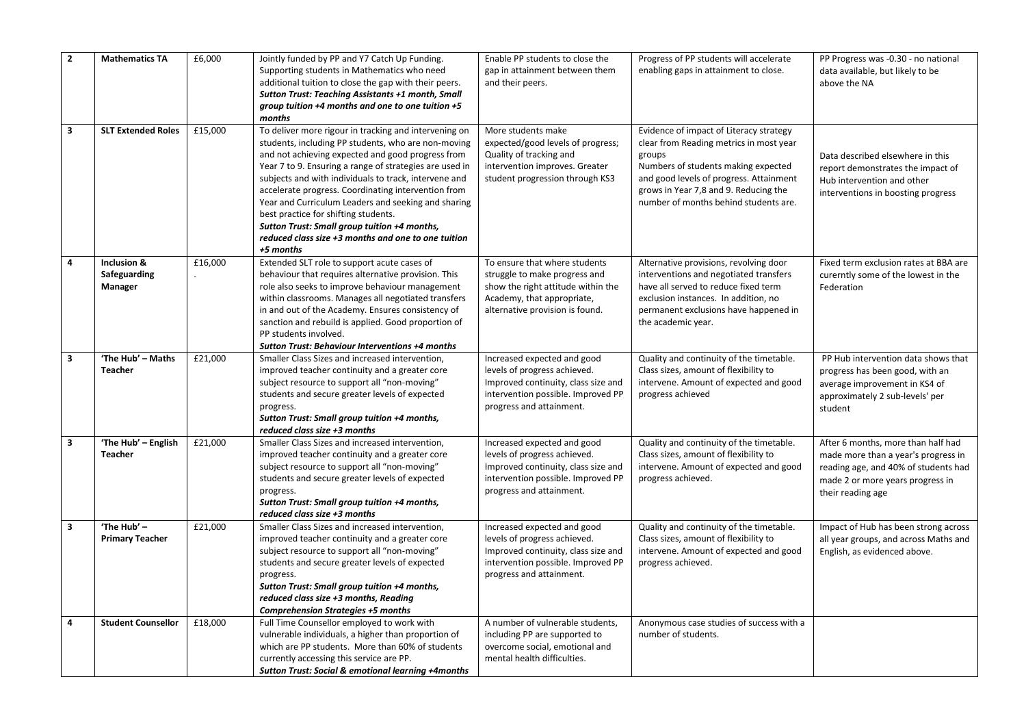| $\overline{2}$<br>$\overline{\mathbf{3}}$ | <b>Mathematics TA</b><br><b>SLT Extended Roles</b> | £6,000<br>£15,000 | Jointly funded by PP and Y7 Catch Up Funding.<br>Supporting students in Mathematics who need<br>additional tuition to close the gap with their peers.<br><b>Sutton Trust: Teaching Assistants +1 month, Small</b><br>group tuition +4 months and one to one tuition +5<br>months<br>To deliver more rigour in tracking and intervening on                                                                                                                                                              | Enable PP students to close the<br>gap in attainment between them<br>and their peers.<br>More students make                                                           | Progress of PP students will accelerate<br>enabling gaps in attainment to close.<br>Evidence of impact of Literacy strategy                                                                                                     | PP Progress was -0.30 - no national<br>data available, but likely to be<br>above the NA                                                                                    |
|-------------------------------------------|----------------------------------------------------|-------------------|--------------------------------------------------------------------------------------------------------------------------------------------------------------------------------------------------------------------------------------------------------------------------------------------------------------------------------------------------------------------------------------------------------------------------------------------------------------------------------------------------------|-----------------------------------------------------------------------------------------------------------------------------------------------------------------------|---------------------------------------------------------------------------------------------------------------------------------------------------------------------------------------------------------------------------------|----------------------------------------------------------------------------------------------------------------------------------------------------------------------------|
|                                           |                                                    |                   | students, including PP students, who are non-moving<br>and not achieving expected and good progress from<br>Year 7 to 9. Ensuring a range of strategies are used in<br>subjects and with individuals to track, intervene and<br>accelerate progress. Coordinating intervention from<br>Year and Curriculum Leaders and seeking and sharing<br>best practice for shifting students.<br>Sutton Trust: Small group tuition +4 months,<br>reduced class size +3 months and one to one tuition<br>+5 months | expected/good levels of progress;<br>Quality of tracking and<br>intervention improves. Greater<br>student progression through KS3                                     | clear from Reading metrics in most year<br>groups<br>Numbers of students making expected<br>and good levels of progress. Attainment<br>grows in Year 7,8 and 9. Reducing the<br>number of months behind students are.           | Data described elsewhere in this<br>report demonstrates the impact of<br>Hub intervention and other<br>interventions in boosting progress                                  |
| $\overline{4}$                            | Inclusion &<br>Safeguarding<br>Manager             | £16,000           | Extended SLT role to support acute cases of<br>behaviour that requires alternative provision. This<br>role also seeks to improve behaviour management<br>within classrooms. Manages all negotiated transfers<br>in and out of the Academy. Ensures consistency of<br>sanction and rebuild is applied. Good proportion of<br>PP students involved.<br>Sutton Trust: Behaviour Interventions +4 months                                                                                                   | To ensure that where students<br>struggle to make progress and<br>show the right attitude within the<br>Academy, that appropriate,<br>alternative provision is found. | Alternative provisions, revolving door<br>interventions and negotiated transfers<br>have all served to reduce fixed term<br>exclusion instances. In addition, no<br>permanent exclusions have happened in<br>the academic year. | Fixed term exclusion rates at BBA are<br>curerntly some of the lowest in the<br>Federation                                                                                 |
| 3                                         | 'The Hub' - Maths<br><b>Teacher</b>                | E21,000           | Smaller Class Sizes and increased intervention,<br>improved teacher continuity and a greater core<br>subject resource to support all "non-moving"<br>students and secure greater levels of expected<br>progress.<br>Sutton Trust: Small group tuition +4 months,<br>reduced class size +3 months                                                                                                                                                                                                       | Increased expected and good<br>levels of progress achieved.<br>Improved continuity, class size and<br>intervention possible. Improved PP<br>progress and attainment.  | Quality and continuity of the timetable.<br>Class sizes, amount of flexibility to<br>intervene. Amount of expected and good<br>progress achieved                                                                                | PP Hub intervention data shows that<br>progress has been good, with an<br>average improvement in KS4 of<br>approximately 2 sub-levels' per<br>student                      |
| $\overline{\mathbf{3}}$                   | 'The Hub' - English<br><b>Teacher</b>              | £21,000           | Smaller Class Sizes and increased intervention,<br>improved teacher continuity and a greater core<br>subject resource to support all "non-moving"<br>students and secure greater levels of expected<br>progress.<br>Sutton Trust: Small group tuition +4 months,<br>reduced class size +3 months                                                                                                                                                                                                       | Increased expected and good<br>levels of progress achieved.<br>Improved continuity, class size and<br>intervention possible. Improved PP<br>progress and attainment.  | Quality and continuity of the timetable.<br>Class sizes, amount of flexibility to<br>intervene. Amount of expected and good<br>progress achieved.                                                                               | After 6 months, more than half had<br>made more than a year's progress in<br>reading age, and 40% of students had<br>made 2 or more years progress in<br>their reading age |
| $\overline{\mathbf{3}}$                   | 'The Hub' -<br><b>Primary Teacher</b>              | £21,000           | Smaller Class Sizes and increased intervention,<br>improved teacher continuity and a greater core<br>subject resource to support all "non-moving"<br>students and secure greater levels of expected<br>progress.<br>Sutton Trust: Small group tuition +4 months,<br>reduced class size +3 months, Reading<br><b>Comprehension Strategies +5 months</b>                                                                                                                                                 | Increased expected and good<br>levels of progress achieved.<br>Improved continuity, class size and<br>intervention possible. Improved PP<br>progress and attainment.  | Quality and continuity of the timetable.<br>Class sizes, amount of flexibility to<br>intervene. Amount of expected and good<br>progress achieved.                                                                               | Impact of Hub has been strong across<br>all year groups, and across Maths and<br>English, as evidenced above.                                                              |
| 4                                         | <b>Student Counsellor</b>                          | £18,000           | Full Time Counsellor employed to work with<br>vulnerable individuals, a higher than proportion of<br>which are PP students. More than 60% of students<br>currently accessing this service are PP.<br><b>Sutton Trust: Social &amp; emotional learning +4months</b>                                                                                                                                                                                                                                     | A number of vulnerable students,<br>including PP are supported to<br>overcome social, emotional and<br>mental health difficulties.                                    | Anonymous case studies of success with a<br>number of students.                                                                                                                                                                 |                                                                                                                                                                            |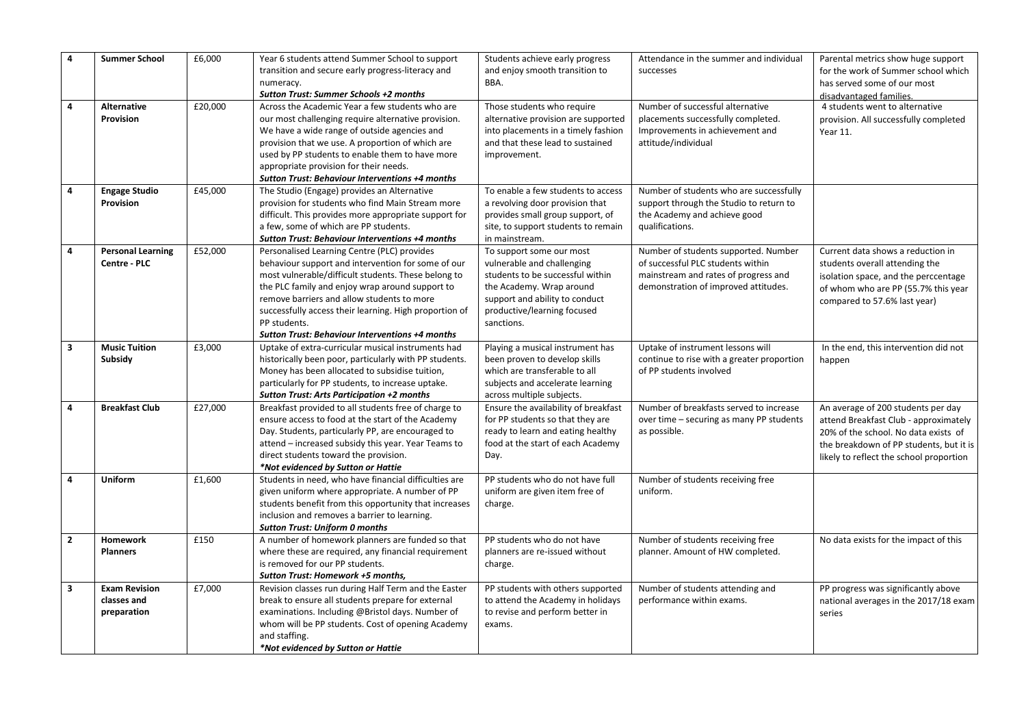| 4<br>4       | <b>Summer School</b><br>Alternative<br>Provision   | £6,000<br>£20,000 | Year 6 students attend Summer School to support<br>transition and secure early progress-literacy and<br>numeracy.<br><b>Sutton Trust: Summer Schools +2 months</b><br>Across the Academic Year a few students who are<br>our most challenging require alternative provision.<br>We have a wide range of outside agencies and<br>provision that we use. A proportion of which are<br>used by PP students to enable them to have more<br>appropriate provision for their needs. | Students achieve early progress<br>and enjoy smooth transition to<br>BBA.<br>Those students who require<br>alternative provision are supported<br>into placements in a timely fashion<br>and that these lead to sustained<br>improvement. | Attendance in the summer and individual<br>successes<br>Number of successful alternative<br>placements successfully completed.<br>Improvements in achievement and<br>attitude/individual | Parental metrics show huge support<br>for the work of Summer school which<br>has served some of our most<br>disadvantaged families.<br>4 students went to alternative<br>provision. All successfully completed<br>Year 11. |
|--------------|----------------------------------------------------|-------------------|-------------------------------------------------------------------------------------------------------------------------------------------------------------------------------------------------------------------------------------------------------------------------------------------------------------------------------------------------------------------------------------------------------------------------------------------------------------------------------|-------------------------------------------------------------------------------------------------------------------------------------------------------------------------------------------------------------------------------------------|------------------------------------------------------------------------------------------------------------------------------------------------------------------------------------------|----------------------------------------------------------------------------------------------------------------------------------------------------------------------------------------------------------------------------|
| 4            | <b>Engage Studio</b><br>Provision                  | £45,000           | Sutton Trust: Behaviour Interventions +4 months<br>The Studio (Engage) provides an Alternative<br>provision for students who find Main Stream more<br>difficult. This provides more appropriate support for<br>a few, some of which are PP students.<br>Sutton Trust: Behaviour Interventions +4 months                                                                                                                                                                       | To enable a few students to access<br>a revolving door provision that<br>provides small group support, of<br>site, to support students to remain<br>in mainstream.                                                                        | Number of students who are successfully<br>support through the Studio to return to<br>the Academy and achieve good<br>qualifications.                                                    |                                                                                                                                                                                                                            |
| 4            | <b>Personal Learning</b><br>Centre - PLC           | £52,000           | Personalised Learning Centre (PLC) provides<br>behaviour support and intervention for some of our<br>most vulnerable/difficult students. These belong to<br>the PLC family and enjoy wrap around support to<br>remove barriers and allow students to more<br>successfully access their learning. High proportion of<br>PP students.<br><b>Sutton Trust: Behaviour Interventions +4 months</b>                                                                                 | To support some our most<br>vulnerable and challenging<br>students to be successful within<br>the Academy. Wrap around<br>support and ability to conduct<br>productive/learning focused<br>sanctions.                                     | Number of students supported. Number<br>of successful PLC students within<br>mainstream and rates of progress and<br>demonstration of improved attitudes.                                | Current data shows a reduction in<br>students overall attending the<br>isolation space, and the perccentage<br>of whom who are PP (55.7% this year<br>compared to 57.6% last year)                                         |
| 3            | <b>Music Tuition</b><br>Subsidy                    | £3,000            | Uptake of extra-curricular musical instruments had<br>historically been poor, particularly with PP students.<br>Money has been allocated to subsidise tuition,<br>particularly for PP students, to increase uptake.<br>Sutton Trust: Arts Participation +2 months                                                                                                                                                                                                             | Playing a musical instrument has<br>been proven to develop skills<br>which are transferable to all<br>subjects and accelerate learning<br>across multiple subjects.                                                                       | Uptake of instrument lessons will<br>continue to rise with a greater proportion<br>of PP students involved                                                                               | In the end, this intervention did not<br>happen                                                                                                                                                                            |
| 4            | <b>Breakfast Club</b>                              | £27,000           | Breakfast provided to all students free of charge to<br>ensure access to food at the start of the Academy<br>Day. Students, particularly PP, are encouraged to<br>attend - increased subsidy this year. Year Teams to<br>direct students toward the provision.<br>*Not evidenced by Sutton or Hattie                                                                                                                                                                          | Ensure the availability of breakfast<br>for PP students so that they are<br>ready to learn and eating healthy<br>food at the start of each Academy<br>Day.                                                                                | Number of breakfasts served to increase<br>over time - securing as many PP students<br>as possible.                                                                                      | An average of 200 students per day<br>attend Breakfast Club - approximately<br>20% of the school. No data exists of<br>the breakdown of PP students, but it is<br>likely to reflect the school proportion                  |
| 4            | Uniform                                            | £1,600            | Students in need, who have financial difficulties are<br>given uniform where appropriate. A number of PP<br>students benefit from this opportunity that increases<br>inclusion and removes a barrier to learning.<br><b>Sutton Trust: Uniform 0 months</b>                                                                                                                                                                                                                    | PP students who do not have full<br>uniform are given item free of<br>charge.                                                                                                                                                             | Number of students receiving free<br>uniform.                                                                                                                                            |                                                                                                                                                                                                                            |
| $\mathbf{2}$ | Homework<br><b>Planners</b>                        | £150              | A number of homework planners are funded so that<br>where these are required, any financial requirement<br>is removed for our PP students.<br>Sutton Trust: Homework +5 months,                                                                                                                                                                                                                                                                                               | PP students who do not have<br>planners are re-issued without<br>charge.                                                                                                                                                                  | Number of students receiving free<br>planner. Amount of HW completed.                                                                                                                    | No data exists for the impact of this                                                                                                                                                                                      |
| 3            | <b>Exam Revision</b><br>classes and<br>preparation | £7,000            | Revision classes run during Half Term and the Easter<br>break to ensure all students prepare for external<br>examinations. Including @Bristol days. Number of<br>whom will be PP students. Cost of opening Academy<br>and staffing.<br>*Not evidenced by Sutton or Hattie                                                                                                                                                                                                     | PP students with others supported<br>to attend the Academy in holidays<br>to revise and perform better in<br>exams.                                                                                                                       | Number of students attending and<br>performance within exams.                                                                                                                            | PP progress was significantly above<br>national averages in the 2017/18 exam<br>series                                                                                                                                     |